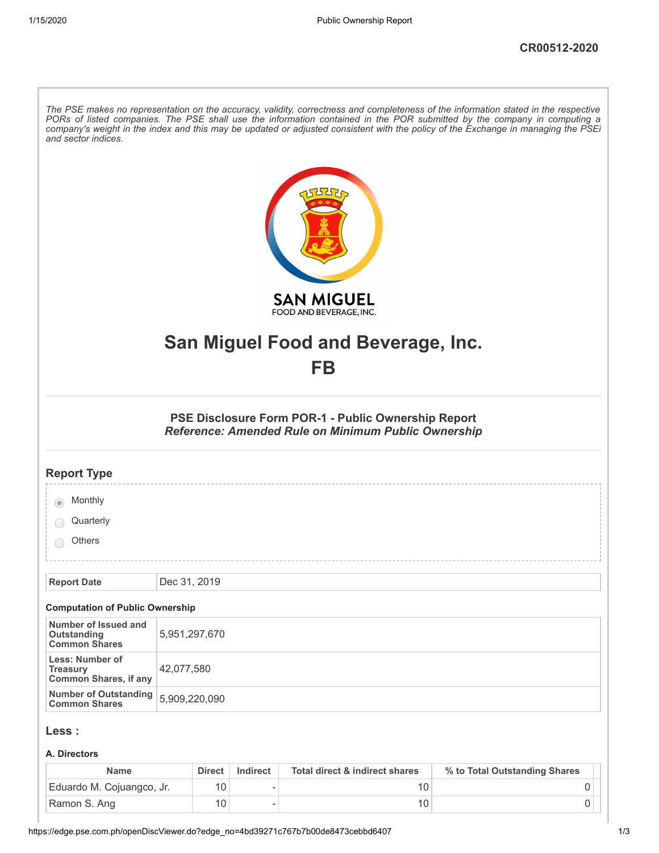| The PSE makes no representation on the accuracy, validity, correctness and completeness of the information stated in the respective<br>PORs of listed companies. The PSE shall use the information contained in the POR submitted by the company in computing a<br>company's weight in the index and this may be updated or adjusted consistent with the policy of the Exchange in managing the PSEi<br>and sector indices. |                                                                                                                          |  |  |
|-----------------------------------------------------------------------------------------------------------------------------------------------------------------------------------------------------------------------------------------------------------------------------------------------------------------------------------------------------------------------------------------------------------------------------|--------------------------------------------------------------------------------------------------------------------------|--|--|
|                                                                                                                                                                                                                                                                                                                                                                                                                             | <b>SAN MIGUEL</b><br>FOOD AND BEVERAGE, INC.                                                                             |  |  |
|                                                                                                                                                                                                                                                                                                                                                                                                                             | San Miguel Food and Beverage, Inc.                                                                                       |  |  |
|                                                                                                                                                                                                                                                                                                                                                                                                                             | FB                                                                                                                       |  |  |
|                                                                                                                                                                                                                                                                                                                                                                                                                             |                                                                                                                          |  |  |
|                                                                                                                                                                                                                                                                                                                                                                                                                             | <b>PSE Disclosure Form POR-1 - Public Ownership Report</b><br><b>Reference: Amended Rule on Minimum Public Ownership</b> |  |  |
| <b>Report Type</b>                                                                                                                                                                                                                                                                                                                                                                                                          |                                                                                                                          |  |  |
| Monthly                                                                                                                                                                                                                                                                                                                                                                                                                     |                                                                                                                          |  |  |
| Quarterly                                                                                                                                                                                                                                                                                                                                                                                                                   |                                                                                                                          |  |  |
| Others                                                                                                                                                                                                                                                                                                                                                                                                                      |                                                                                                                          |  |  |
| <b>Report Date</b>                                                                                                                                                                                                                                                                                                                                                                                                          | Dec 31, 2019                                                                                                             |  |  |
|                                                                                                                                                                                                                                                                                                                                                                                                                             |                                                                                                                          |  |  |
| <b>Computation of Public Ownership</b><br>Number of Issued and                                                                                                                                                                                                                                                                                                                                                              |                                                                                                                          |  |  |
| <b>Outstanding</b><br><b>Common Shares</b>                                                                                                                                                                                                                                                                                                                                                                                  | 5,951,297,670                                                                                                            |  |  |
| <b>Less: Number of</b><br><b>Treasury</b><br><b>Common Shares, if any</b>                                                                                                                                                                                                                                                                                                                                                   | 42,077,580                                                                                                               |  |  |
| <b>Number of Outstanding</b><br><b>Common Shares</b>                                                                                                                                                                                                                                                                                                                                                                        | 5,909,220,090                                                                                                            |  |  |
| Less :                                                                                                                                                                                                                                                                                                                                                                                                                      |                                                                                                                          |  |  |
| A. Directors                                                                                                                                                                                                                                                                                                                                                                                                                |                                                                                                                          |  |  |
|                                                                                                                                                                                                                                                                                                                                                                                                                             |                                                                                                                          |  |  |

| Name                      | <b>Direct</b> | Indirect | Total direct & indirect shares | % to Total Outstanding Shares |  |
|---------------------------|---------------|----------|--------------------------------|-------------------------------|--|
| Eduardo M. Cojuangco, Jr. | 10            |          |                                |                               |  |
| Ramon S. Ang              | 10            |          |                                |                               |  |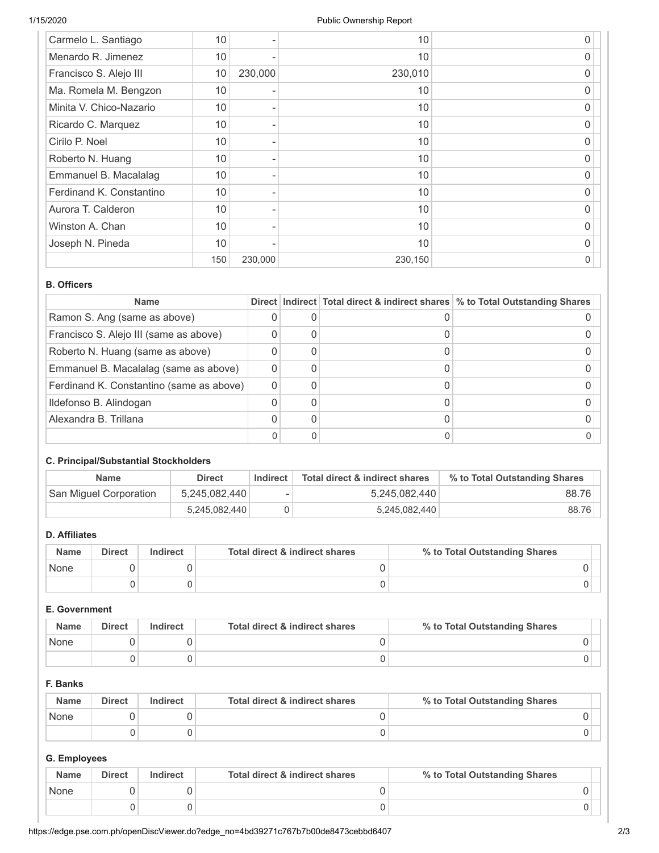| Carmelo L. Santiago      | 10  |         | 10      | 0 |
|--------------------------|-----|---------|---------|---|
| Menardo R. Jimenez       | 10  |         | 10      | 0 |
| Francisco S. Alejo III   | 10  | 230,000 | 230,010 | O |
| Ma. Romela M. Bengzon    | 10  |         | 10      | O |
| Minita V. Chico-Nazario  | 10  |         | 10      | 0 |
| Ricardo C. Marquez       | 10  |         | 10      | 0 |
| Cirilo P. Noel           | 10  |         | 10      | O |
| Roberto N. Huang         | 10  |         | 10      | 0 |
| Emmanuel B. Macalalag    | 10  |         | 10      | 0 |
| Ferdinand K. Constantino | 10  |         | 10      | O |
| Aurora T. Calderon       | 10  |         | 10      | 0 |
| Winston A. Chan          | 10  |         | 10      | 0 |
| Joseph N. Pineda         | 10  |         | 10      | 0 |
|                          | 150 | 230,000 | 230,150 | 0 |

### **B. Officers**

| <b>Name</b>                              |  | Direct   Indirect   Total direct & indirect shares   % to Total Outstanding Shares |
|------------------------------------------|--|------------------------------------------------------------------------------------|
| Ramon S. Ang (same as above)             |  |                                                                                    |
| Francisco S. Alejo III (same as above)   |  |                                                                                    |
| Roberto N. Huang (same as above)         |  |                                                                                    |
| Emmanuel B. Macalalag (same as above)    |  |                                                                                    |
| Ferdinand K. Constantino (same as above) |  |                                                                                    |
| Ildefonso B. Alindogan                   |  |                                                                                    |
| Alexandra B. Trillana                    |  |                                                                                    |
|                                          |  |                                                                                    |

### **C. Principal/Substantial Stockholders**

| <b>Name</b>            | <b>Direct</b> | Indirect | Total direct & indirect shares | % to Total Outstanding Shares |
|------------------------|---------------|----------|--------------------------------|-------------------------------|
| San Miguel Corporation | 5,245,082,440 | ۰        | 5,245,082,440                  | 88.76                         |
|                        | 5,245,082,440 |          | 5,245,082,440                  | 88.76                         |

# **D. Affiliates**

| <b>Name</b> | <b>Direct</b> | Indirect | Total direct & indirect shares | % to Total Outstanding Shares |
|-------------|---------------|----------|--------------------------------|-------------------------------|
| None        |               |          |                                |                               |
|             |               |          |                                |                               |

## **E. Government**

| <b>Name</b> | <b>Direct</b> | Indirect | Total direct & indirect shares | % to Total Outstanding Shares |
|-------------|---------------|----------|--------------------------------|-------------------------------|
| None        |               |          |                                |                               |
|             |               |          |                                |                               |

# **F. Banks**

| <b>Name</b> | <b>Direct</b> | Indirect | Total direct & indirect shares | % to Total Outstanding Shares |
|-------------|---------------|----------|--------------------------------|-------------------------------|
| None        |               |          |                                |                               |
|             |               |          |                                |                               |

# **G. Employees**

| <b>Name</b> | <b>Direct</b> | Indirect | Total direct & indirect shares | % to Total Outstanding Shares |
|-------------|---------------|----------|--------------------------------|-------------------------------|
| None        |               |          |                                |                               |
|             |               |          |                                |                               |